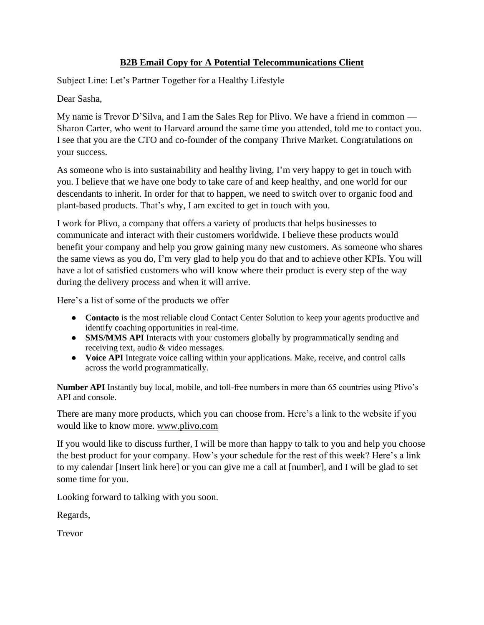## **B2B Email Copy for A Potential Telecommunications Client**

Subject Line: Let's Partner Together for a Healthy Lifestyle

Dear Sasha,

My name is Trevor D'Silva, and I am the Sales Rep for Plivo. We have a friend in common — Sharon Carter, who went to Harvard around the same time you attended, told me to contact you. I see that you are the CTO and co-founder of the company Thrive Market. Congratulations on your success.

As someone who is into sustainability and healthy living, I'm very happy to get in touch with you. I believe that we have one body to take care of and keep healthy, and one world for our descendants to inherit. In order for that to happen, we need to switch over to organic food and plant-based products. That's why, I am excited to get in touch with you.

I work for Plivo, a company that offers a variety of products that helps businesses to communicate and interact with their customers worldwide. I believe these products would benefit your company and help you grow gaining many new customers. As someone who shares the same views as you do, I'm very glad to help you do that and to achieve other KPIs. You will have a lot of satisfied customers who will know where their product is every step of the way during the delivery process and when it will arrive.

Here's a list of some of the products we offer

- **Contacto** is the most reliable cloud Contact Center Solution to keep your agents productive and identify coaching opportunities in real-time.
- **SMS/MMS API** Interacts with your customers globally by programmatically sending and receiving text, [audio & video messages.](https://www.plivo.com/mms/)
- **Voice API** Integrate voice calling within your applications. Make, receive, and control calls across the world programmatically.

**Number API** Instantly buy local, mobile, and toll-free numbers in more than 65 countries using Plivo's API and console.

There are many more products, which you can choose from. Here's a link to the website if you would like to know more. [www.plivo.com](http://www.plivo.com/)

If you would like to discuss further, I will be more than happy to talk to you and help you choose the best product for your company. How's your schedule for the rest of this week? Here's a link to my calendar [Insert link here] or you can give me a call at [number], and I will be glad to set some time for you.

Looking forward to talking with you soon.

Regards,

Trevor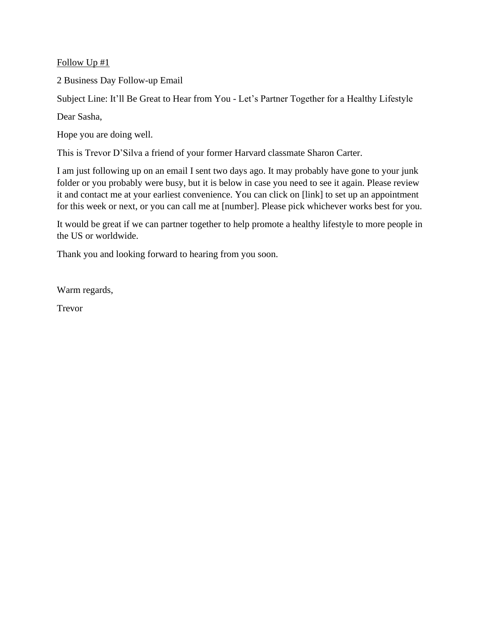Follow Up #1

2 Business Day Follow-up Email

Subject Line: It'll Be Great to Hear from You - Let's Partner Together for a Healthy Lifestyle

Dear Sasha,

Hope you are doing well.

This is Trevor D'Silva a friend of your former Harvard classmate Sharon Carter.

I am just following up on an email I sent two days ago. It may probably have gone to your junk folder or you probably were busy, but it is below in case you need to see it again. Please review it and contact me at your earliest convenience. You can click on [link] to set up an appointment for this week or next, or you can call me at [number]. Please pick whichever works best for you.

It would be great if we can partner together to help promote a healthy lifestyle to more people in the US or worldwide.

Thank you and looking forward to hearing from you soon.

Warm regards,

Trevor